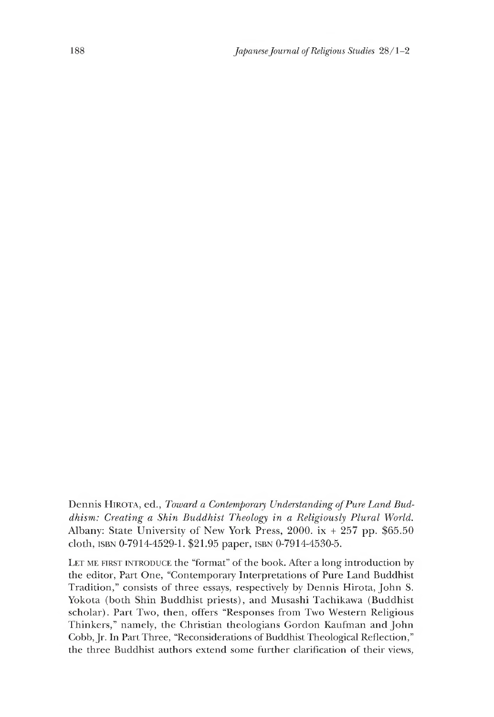Dennis HIROTA, ed., Toward a Contemporary Understanding of Pure Land Bud*dhism: Creating a Shin Buddhist Theology in a Religiously Plural World.* Albany: State University of New York Press, 2000. ix  $+257$  pp. \$65.50 cloth, isbn 0-7914-4529-1. \$21.95 paper, isbn 0-7914-4530-5.

LET ME FIRST INTRODUCE the "format" of the book. After a long introduction by the editor, Part One, "Contemporary Interpretations of Pure Land Buddhist Tradition," consists of three essays, respectively by Dennis Hirota, John S. Yokota (both Shin Buddhist priests), and Musashi Tachikawa (Buddhist scholar). Part Two, then, offers "Responses from Two Western Religious Thinkers," namely, the Christian theologians Gordon Kaufman and John Cobb, Jr. In Part Three, "Reconsiderations of Buddhist Theological Reflection," the three Buddhist authors extend some further clarification of their views,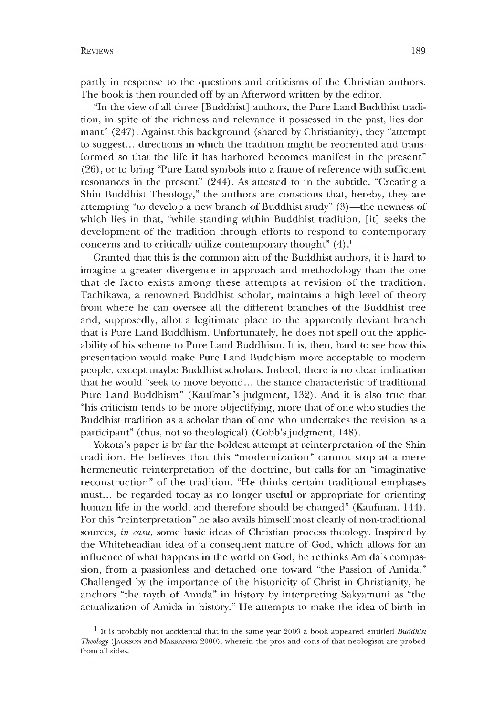partly in response to the questions and criticisms of the Christian authors. The book is then rounded off by an Afterword written by the editor.

"In the view of all three [Buddhist] authors, the Pure Land Buddhist tradition, in spite of the richness and relevance it possessed in the past, lies dormant" (247). Against this background (shared by Christianity), they "attempt to suggest... directions in which the tradition might be reoriented and transformed so that the life it has harbored becomes manifest in the present" (26), or to bring "Pure Land symbols into a frame of reference with sufficient resonances in the present" (244). As attested to in the subtitle, "Creating a Shin Buddhist Theology," the authors are conscious that, hereby, they are attempting "to develop a new branch of Buddhist study" (3)— the newness of which lies in that, "while standing within Buddhist tradition, [it] seeks the development of the tradition through efforts to respond to contemporary concerns and to critically utilize contemporary thought"  $(4)$ .<sup>1</sup>

Granted that this is the common aim of the Buddhist authors, it is hard to imagine a greater divergence in approach and methodology than the one that de facto exists among these attempts at revision of the tradition. Tachikawa, a renowned Buddhist scholar, maintains a high level of theory from where he can oversee all the different branches of the Buddhist tree and, supposedly, allot a legitimate place to the apparently deviant branch that is Pure Land Buddhism. Unfortunately, he does not spell out the applicability of his scheme to Pure Land Buddhism. It is, then, hard to see how this presentation would make Pure Land Buddhism more acceptable to modern people, except maybe Buddhist scholars. Indeed, there is no clear indication that he would "seek to move beyond... the stance characteristic of traditional Pure Land Buddhism" (Kaufman's judgment, 132). And it is also true that "his criticism tends to be more objectifying, more that of one who studies the Buddhist tradition as a scholar than of one who undertakes the revision as a participant" (thus, not so theological) (Cobb's judgment, 148).

Yokota's paper is by far the boldest attempt at reinterpretation of the Shin tradition. He believes that this "modernization" cannot stop at a mere hermeneutic reinterpretation of the doctrine, but calls for an "imaginative reconstruction" of the tradition. "He thinks certain traditional emphases must... be regarded today as no longer useful or appropriate for orienting human life in the world, and therefore should be changed" (Kaufman, 144). For this "reinterpretation" he also avails himself most clearly of non-traditional sources, *in casu,* some basic ideas of Christian process theology. Inspired by the Whiteheadian idea of a consequent nature of God, which allows for an influence of what happens in the world on God, he rethinks Amida's compassion, from a passionless and detached one toward "the Passion of Amida." Challenged by the importance of the historicity of Christ in Christianity, he anchors "the myth of Amida" in history by interpreting Sakyamuni as "the actualization of Amida in history." He attempts to make the idea of birth in

<sup>1</sup> It is probably not accidental that in the same year 2000 a book appeared entitled *Buddhist* Theology (JACKSON and MAKRANSKY 2000), wherein the pros and cons of that neologism are probed from all sides.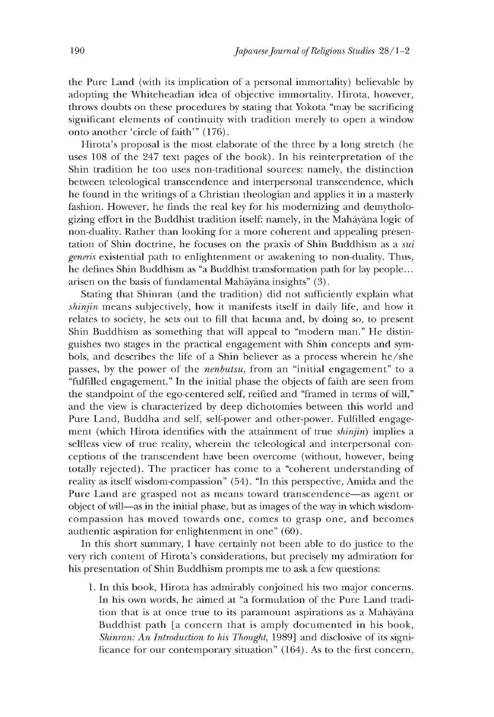the Pure Land (with its implication of a personal immortality) believable by adopting the Whiteheadian idea of objective immortality. Hirota, however, throws doubts on these procedures by stating that Yokota "may be sacrificing significant elements of continuity with tradition merely to open a window onto another 'circle of faith'" (176).

Hirota's proposal is the most elaborate of the three by a long stretch (he uses 108 of the 247 text pages of the book). In his reinterpretation of the Shin tradition he too uses non-traditional sources: namely, the distinction between teleological transcendence and interpersonal transcendence, which he found in the writings of a Christian theologian and applies it in a masterly fashion. However, he finds the real key for his modernizing and demythologizing effort in the Buddhist tradition itself: namely, in the Mahayana logic of non-duality. Rather than looking for a more coherent and appealing presentation of Shin doctrine, he focuses on the praxis of Shin Buddhism as a *sui generis* existential path to enlightenment or awakening to non-duality. Thus, he defines Shin Buddhism as "a Buddhist transformation path for lay people... arisen on the basis of fundamental Mahāyāna insights" (3).

Stating that Shinran (and the tradition) did not sufficiently explain what *shinjin* means subjectively, how it manifests itself in daily life, and how it relates to society, he sets out to fill that lacuna and, by doing so, to present Shin Buddhism as something that will appeal to "modern man." He distinguishes two stages in the practical engagement with Shin concepts and symbols, and describes the life of a Shin believer as a process wherein he/she passes, by the power of the *nenbutsu*, from an "initial engagement" to a "fulfilled engagement." In the initial phase the objects of faith are seen from the standpoint of the ego-centered self, reified and "framed in terms of will," and the view is characterized by deep dichotomies between this world and Pure Land, Buddha and self, self-power and other-power. Fulfilled engagement (which Hirota identifies with the attainment of true *shinjin)* implies a selfless view of true reality, wherein the teleological and interpersonal conceptions of the transcendent have been overcome (without, however, being totally rejected). The practicer has come to a "coherent understanding of reality as itself wisdom-compassion" (54). "In this perspective, Amida and the Pure Land are grasped not as means toward transcendence— as agent or object of will— as in the initial phase, but as images of the way in which wisdomcompassion has moved towards one, comes to grasp one, and becomes authentic aspiration for enlightenment in one" (60).

In this short summary, I have certainly not been able to do justice to the very rich content of Hirota's considerations, but precisely my admiration for his presentation of Shin Buddhism prompts me to ask a few questions:

1 .In this book, Hirota has admirably conjoined his two major concerns. In his own words, he aimed at "a formulation of the Pure Land tradition that is at once true to its paramount aspirations as a Mahayana Buddhist path [a concern that is amply documented in his book, *Shinran: An Introduction to his Thought,* 1989] and disclosive of its significance for our contemporary situation" (164). As to the first concern,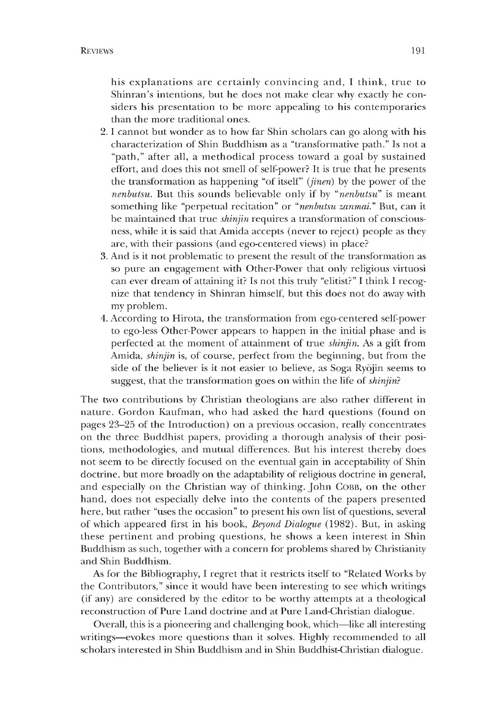his explanations are certainly convincing and, I think, true to Shinran's intentions, but he does not make clear why exactly he considers his presentation to be more appealing to his contemporaries than the more traditional ones.

- 2. I cannot but wonder as to how far Shin scholars can go along with his characterization of Shin Buddhism as a "transformative path." Is not a "path," after all, a methodical process toward a goal by sustained effort, and does this not smell of self-power? It is true that he presents the transformation as happening "of itself" *(jinen)* by the power of the *nenbutsu.* But this sounds believable only if by *"nenbutsu"* is meant something like "perpetual recitation" or *"nenbutsu zanmai."* But, can it be maintained that true *shinjin* requires a transformation of consciousness, while it is said that Amida accepts (never to reject) people as they are, with their passions (and ego-centered views) in place?
- 3. And is it not problematic to present the result of the transformation as so pure an engagement with Other-Power that only religious virtuosi can ever dream of attaining it? Is not this truly "elitist?" I think I recognize that tendency in Shinran himself, but this does not do away with my problem.
- 4. According to Hirota, the transformation from ego-centered self-power to ego-less Other-Power appears to happen in the initial phase and is perfected at the moment of attainment of true *shinjin.* As a gift from Amida, *shinjin* is, of course, perfect from the beginning, but from the side of the believer is it not easier to believe, as Soga Ryojin seems to suggest, that the transformation goes on within the life of *shinjin}*

The two contributions by Christian theologians are also rather different in nature. Gordon Kaufman, who had asked the hard questions (found on pages 23-25 of the Introduction) on a previous occasion, really concentrates on the three Buddhist papers, providing a thorough analysis of their positions, methodologies, and mutual differences. But his interest thereby does not seem to be directly focused on the eventual gain in acceptability of Shin doctrine, but more broadly on the adaptability of religious doctrine in general, and especially on the Christian way of thinking. John COBB, on the other hand, does not especially delve into the contents of the papers presented here, but rather "uses the occasion" to present his own list of questions, several of which appeared first in his book, *Beyond Dialogue* (1982). But, in asking these pertinent and probing questions, he shows a keen interest in Shin Buddhism as such, together with a concern for problems shared by Christianity and Shin Buddhism.

As for the Bibliography, I regret that it restricts itself to "Related Works by the Contributors," since it would have been interesting to see which writings (if any) are considered by the editor to be worthy attempts at a theological reconstruction of Pure Land doctrine and at Pure Land-Christian dialogue.

Overall, this is a pioneering and challenging book, which—like all interesting writings— evokes more questions than it solves. Highly recommended to all scholars interested in Shin Buddhism and in Shin Buddhist-Christian dialogue.